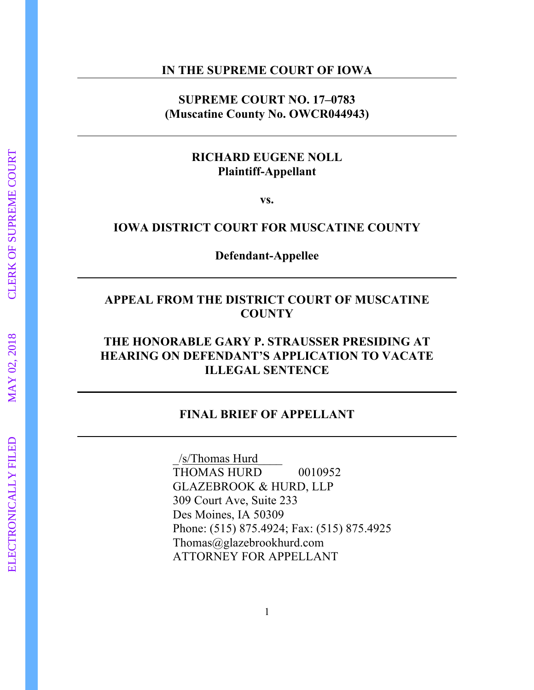#### **IN THE SUPREME COURT OF IOWA**

### **SUPREME COURT NO. 17–0783 (Muscatine County No. OWCR044943)**

### **RICHARD EUGENE NOLL Plaintiff-Appellant**

**vs.**

## **IOWA DISTRICT COURT FOR MUSCATINE COUNTY**

**Defendant-Appellee**

### **APPEAL FROM THE DISTRICT COURT OF MUSCATINE COUNTY**

## **THE HONORABLE GARY P. STRAUSSER PRESIDING AT HEARING ON DEFENDANT'S APPLICATION TO VACATE ILLEGAL SENTENCE**

### **FINAL BRIEF OF APPELLANT**

\_/s/Thomas Hurd\_\_\_\_ THOMAS HURD 0010952 GLAZEBROOK & HURD, LLP 309 Court Ave, Suite 233 Des Moines, IA 50309 Phone: (515) 875.4924; Fax: (515) 875.4925 Thomas@glazebrookhurd.com ATTORNEY FOR APPELLANT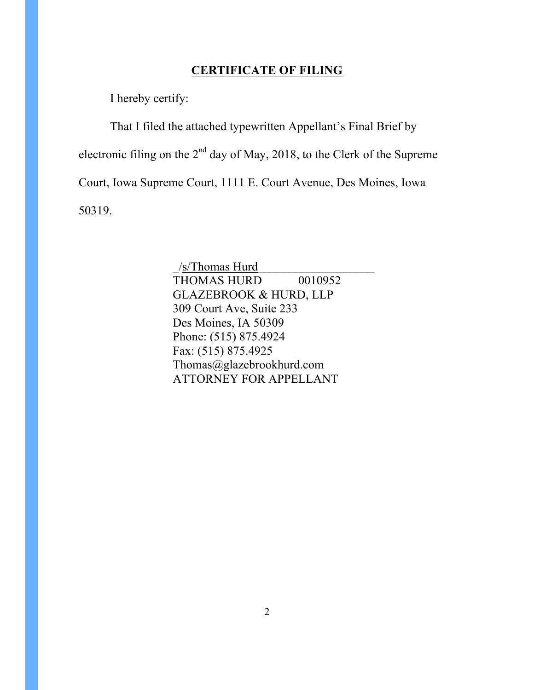## **CERTIFICATE OF FILING**

I hereby certify:

That I filed the attached typewritten Appellant's Final Brief by electronic filing on the  $2<sup>nd</sup>$  day of May, 2018, to the Clerk of the Supreme Court, Iowa Supreme Court, 1111 E. Court Avenue, Des Moines, Iowa 50319.

> \_/s/Thomas Hurd\_\_\_\_\_\_\_\_\_\_\_\_\_\_\_\_\_\_\_ THOMAS HURD 0010952 GLAZEBROOK & HURD, LLP 309 Court Ave, Suite 233 Des Moines, IA 50309 Phone: (515) 875.4924 Fax: (515) 875.4925 Thomas@glazebrookhurd.com ATTORNEY FOR APPELLANT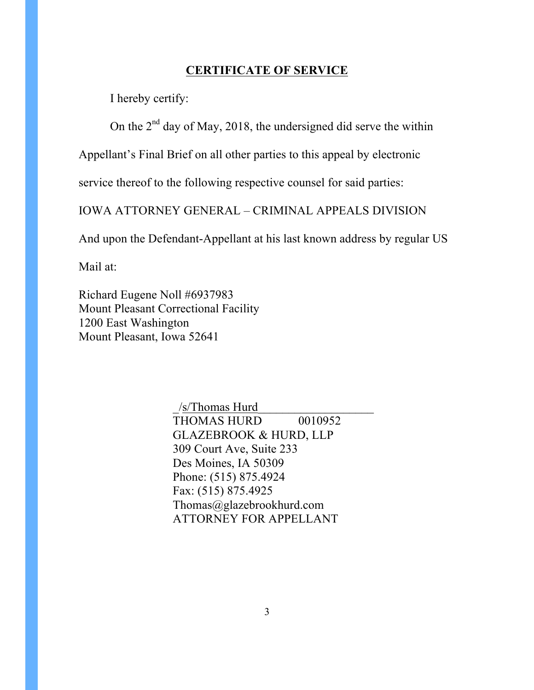### **CERTIFICATE OF SERVICE**

I hereby certify:

On the  $2<sup>nd</sup>$  day of May, 2018, the undersigned did serve the within

Appellant's Final Brief on all other parties to this appeal by electronic

service thereof to the following respective counsel for said parties:

IOWA ATTORNEY GENERAL – CRIMINAL APPEALS DIVISION

And upon the Defendant-Appellant at his last known address by regular US

Mail at:

Richard Eugene Noll #6937983 Mount Pleasant Correctional Facility 1200 East Washington Mount Pleasant, Iowa 52641

> $/s$ Thomas Hurd THOMAS HURD 0010952 GLAZEBROOK & HURD, LLP 309 Court Ave, Suite 233 Des Moines, IA 50309 Phone: (515) 875.4924 Fax: (515) 875.4925 Thomas@glazebrookhurd.com ATTORNEY FOR APPELLANT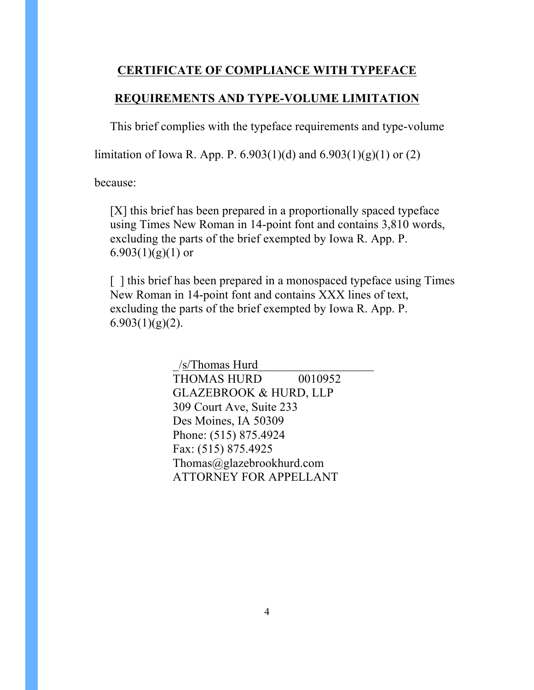## **CERTIFICATE OF COMPLIANCE WITH TYPEFACE**

## **REQUIREMENTS AND TYPE-VOLUME LIMITATION**

This brief complies with the typeface requirements and type-volume

limitation of Iowa R. App. P.  $6.903(1)(d)$  and  $6.903(1)(g)(1)$  or  $(2)$ 

because:

[X] this brief has been prepared in a proportionally spaced typeface using Times New Roman in 14-point font and contains 3,810 words, excluding the parts of the brief exempted by Iowa R. App. P. 6.903 $(1)(g)(1)$  or

[] this brief has been prepared in a monospaced typeface using Times New Roman in 14-point font and contains XXX lines of text, excluding the parts of the brief exempted by Iowa R. App. P.  $6.903(1)(g)(2)$ .

> \_/s/Thomas Hurd\_\_\_\_\_\_\_\_\_\_\_\_\_\_\_\_\_\_\_ THOMAS HURD 0010952 GLAZEBROOK & HURD, LLP 309 Court Ave, Suite 233 Des Moines, IA 50309 Phone: (515) 875.4924 Fax: (515) 875.4925 Thomas@glazebrookhurd.com ATTORNEY FOR APPELLANT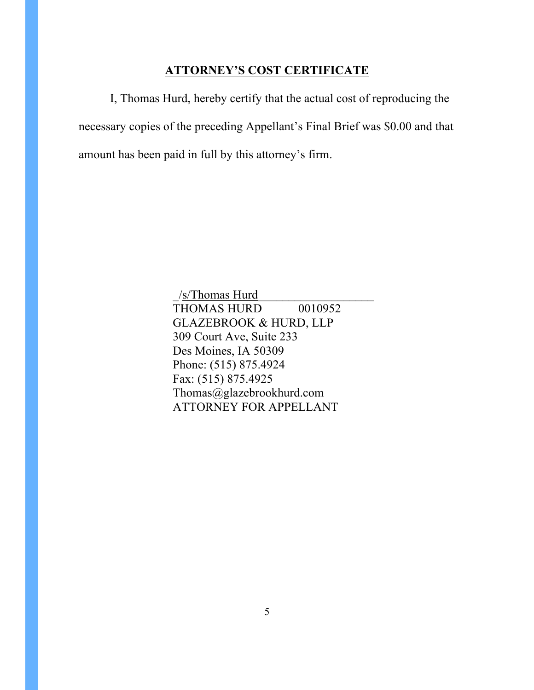## **ATTORNEY'S COST CERTIFICATE**

I, Thomas Hurd, hereby certify that the actual cost of reproducing the necessary copies of the preceding Appellant's Final Brief was \$0.00 and that amount has been paid in full by this attorney's firm.

> \_/s/Thomas Hurd\_\_\_\_\_\_\_\_\_\_\_\_\_\_\_\_\_\_\_ THOMAS HURD 0010952 GLAZEBROOK & HURD, LLP 309 Court Ave, Suite 233 Des Moines, IA 50309 Phone: (515) 875.4924 Fax: (515) 875.4925 Thomas@glazebrookhurd.com ATTORNEY FOR APPELLANT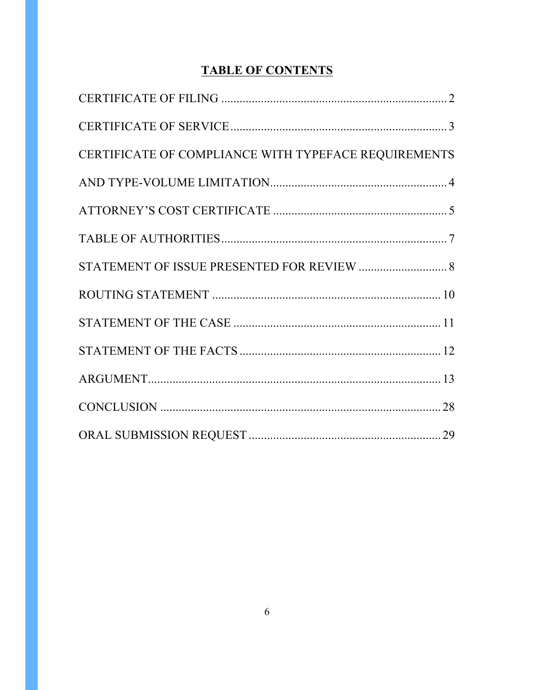# **TABLE OF CONTENTS**

| CERTIFICATE OF COMPLIANCE WITH TYPEFACE REQUIREMENTS |  |
|------------------------------------------------------|--|
|                                                      |  |
|                                                      |  |
|                                                      |  |
|                                                      |  |
|                                                      |  |
|                                                      |  |
|                                                      |  |
|                                                      |  |
|                                                      |  |
|                                                      |  |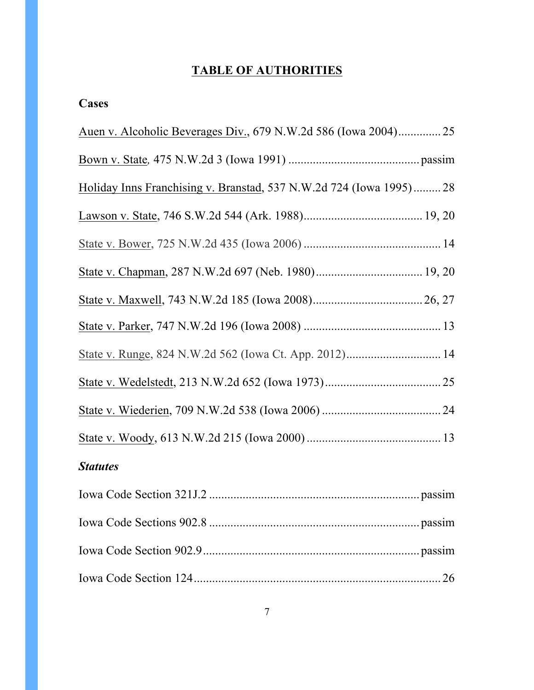# **TABLE OF AUTHORITIES**

| ases |  |
|------|--|
|------|--|

| Holiday Inns Franchising v. Branstad, 537 N.W.2d 724 (Iowa 1995) 28 |    |
|---------------------------------------------------------------------|----|
|                                                                     |    |
|                                                                     |    |
|                                                                     |    |
|                                                                     |    |
|                                                                     |    |
|                                                                     |    |
|                                                                     |    |
|                                                                     |    |
|                                                                     |    |
| <b>Statutes</b>                                                     |    |
|                                                                     |    |
|                                                                     |    |
|                                                                     |    |
|                                                                     | 26 |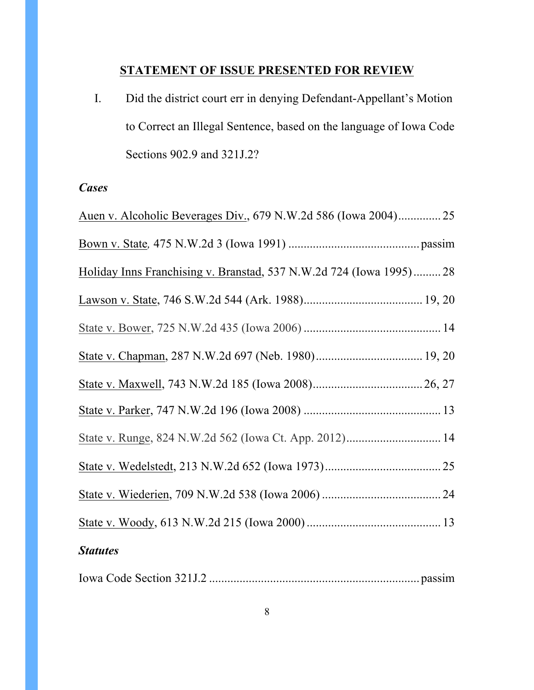## **STATEMENT OF ISSUE PRESENTED FOR REVIEW**

I. Did the district court err in denying Defendant-Appellant's Motion to Correct an Illegal Sentence, based on the language of Iowa Code Sections 902.9 and 321J.2?

## *Cases*

| Auen v. Alcoholic Beverages Div., 679 N.W.2d 586 (Iowa 2004) 25     |  |
|---------------------------------------------------------------------|--|
|                                                                     |  |
| Holiday Inns Franchising v. Branstad, 537 N.W.2d 724 (Iowa 1995) 28 |  |
|                                                                     |  |
|                                                                     |  |
|                                                                     |  |
|                                                                     |  |
|                                                                     |  |
| State v. Runge, 824 N.W.2d 562 (Iowa Ct. App. 2012) 14              |  |
|                                                                     |  |
|                                                                     |  |
|                                                                     |  |
| <b>Statutes</b>                                                     |  |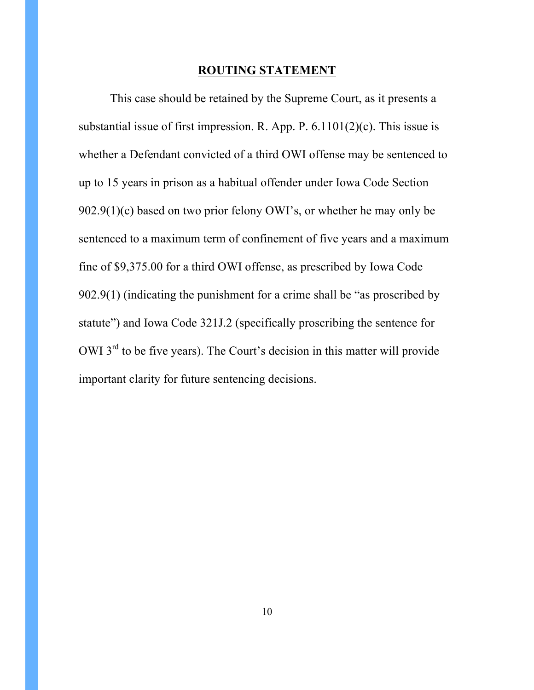#### **ROUTING STATEMENT**

This case should be retained by the Supreme Court, as it presents a substantial issue of first impression. R. App. P. 6.1101(2)(c). This issue is whether a Defendant convicted of a third OWI offense may be sentenced to up to 15 years in prison as a habitual offender under Iowa Code Section  $902.9(1)(c)$  based on two prior felony OWI's, or whether he may only be sentenced to a maximum term of confinement of five years and a maximum fine of \$9,375.00 for a third OWI offense, as prescribed by Iowa Code 902.9(1) (indicating the punishment for a crime shall be "as proscribed by statute") and Iowa Code 321J.2 (specifically proscribing the sentence for OWI 3<sup>rd</sup> to be five years). The Court's decision in this matter will provide important clarity for future sentencing decisions.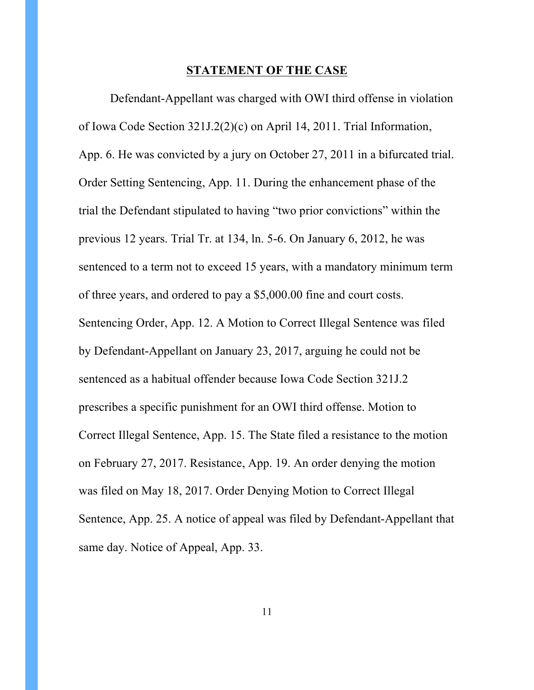#### **STATEMENT OF THE CASE**

Defendant-Appellant was charged with OWI third offense in violation of Iowa Code Section 321J.2(2)(c) on April 14, 2011. Trial Information, App. 6. He was convicted by a jury on October 27, 2011 in a bifurcated trial. Order Setting Sentencing, App. 11. During the enhancement phase of the trial the Defendant stipulated to having "two prior convictions" within the previous 12 years. Trial Tr. at 134, ln. 5-6. On January 6, 2012, he was sentenced to a term not to exceed 15 years, with a mandatory minimum term of three years, and ordered to pay a \$5,000.00 fine and court costs. Sentencing Order, App. 12. A Motion to Correct Illegal Sentence was filed by Defendant-Appellant on January 23, 2017, arguing he could not be sentenced as a habitual offender because Iowa Code Section 321J.2 prescribes a specific punishment for an OWI third offense. Motion to Correct Illegal Sentence, App. 15. The State filed a resistance to the motion on February 27, 2017. Resistance, App. 19. An order denying the motion was filed on May 18, 2017. Order Denying Motion to Correct Illegal Sentence, App. 25. A notice of appeal was filed by Defendant-Appellant that same day. Notice of Appeal, App. 33.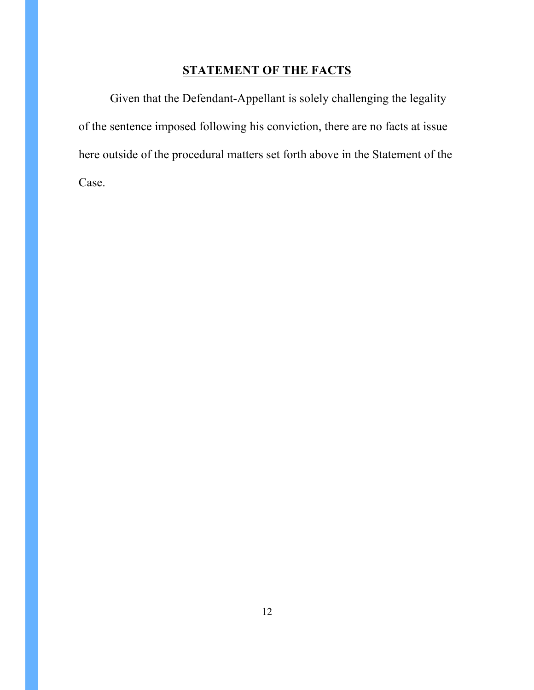## **STATEMENT OF THE FACTS**

Given that the Defendant-Appellant is solely challenging the legality of the sentence imposed following his conviction, there are no facts at issue here outside of the procedural matters set forth above in the Statement of the Case.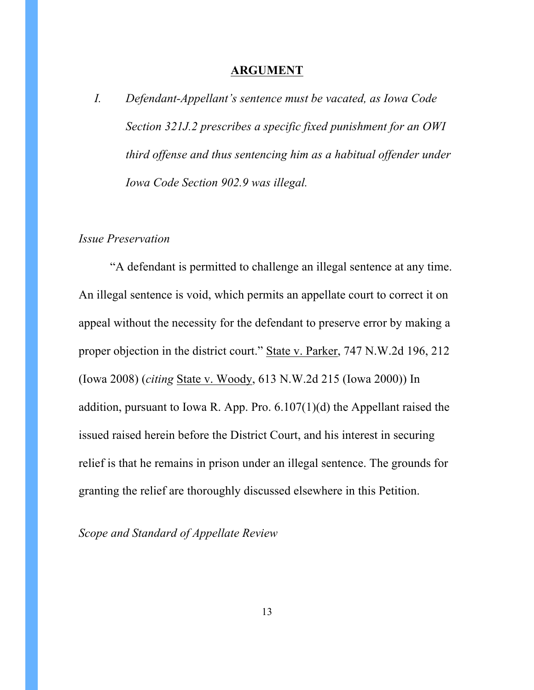#### **ARGUMENT**

*I. Defendant-Appellant's sentence must be vacated, as Iowa Code Section 321J.2 prescribes a specific fixed punishment for an OWI third offense and thus sentencing him as a habitual offender under Iowa Code Section 902.9 was illegal.*

### *Issue Preservation*

"A defendant is permitted to challenge an illegal sentence at any time. An illegal sentence is void, which permits an appellate court to correct it on appeal without the necessity for the defendant to preserve error by making a proper objection in the district court." State v. Parker, 747 N.W.2d 196, 212 (Iowa 2008) (*citing* State v. Woody, 613 N.W.2d 215 (Iowa 2000)) In addition, pursuant to Iowa R. App. Pro. 6.107(1)(d) the Appellant raised the issued raised herein before the District Court, and his interest in securing relief is that he remains in prison under an illegal sentence. The grounds for granting the relief are thoroughly discussed elsewhere in this Petition.

*Scope and Standard of Appellate Review*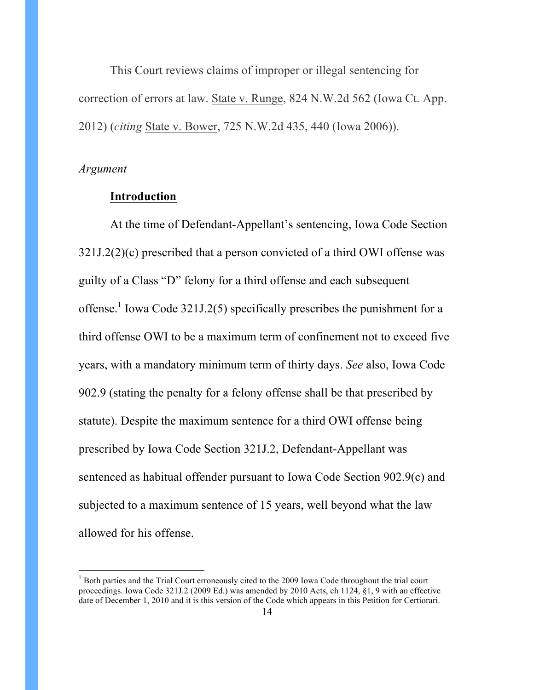This Court reviews claims of improper or illegal sentencing for correction of errors at law. State v. Runge, 824 N.W.2d 562 (Iowa Ct. App. 2012) (*citing* State v. Bower, 725 N.W.2d 435, 440 (Iowa 2006)).

#### *Argument*

#### **Introduction**

At the time of Defendant-Appellant's sentencing, Iowa Code Section 321J.2(2)(c) prescribed that a person convicted of a third OWI offense was guilty of a Class "D" felony for a third offense and each subsequent offense.<sup>1</sup> Iowa Code 321J.2(5) specifically prescribes the punishment for a third offense OWI to be a maximum term of confinement not to exceed five years, with a mandatory minimum term of thirty days. *See* also, Iowa Code 902.9 (stating the penalty for a felony offense shall be that prescribed by statute). Despite the maximum sentence for a third OWI offense being prescribed by Iowa Code Section 321J.2, Defendant-Appellant was sentenced as habitual offender pursuant to Iowa Code Section 902.9(c) and subjected to a maximum sentence of 15 years, well beyond what the law allowed for his offense.

 $<sup>1</sup>$  Both parties and the Trial Court erroneously cited to the 2009 Iowa Code throughout the trial court</sup> proceedings. Iowa Code 321J.2 (2009 Ed.) was amended by 2010 Acts, ch 1124, §1, 9 with an effective date of December 1, 2010 and it is this version of the Code which appears in this Petition for Certiorari.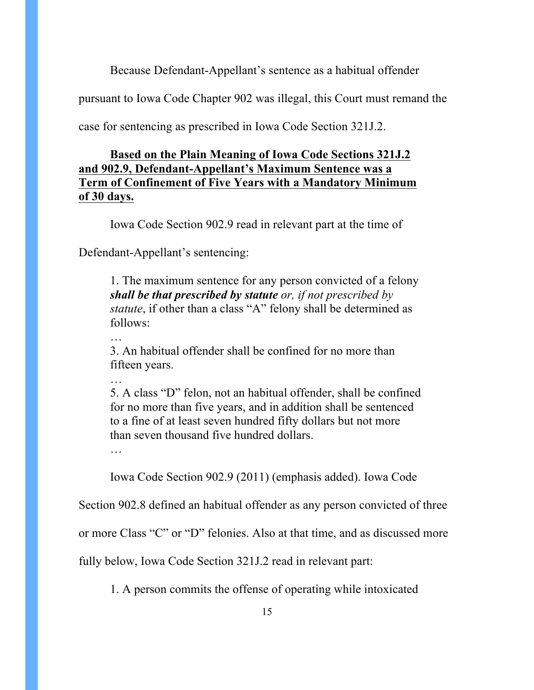Because Defendant-Appellant's sentence as a habitual offender

pursuant to Iowa Code Chapter 902 was illegal, this Court must remand the

case for sentencing as prescribed in Iowa Code Section 321J.2.

## **Based on the Plain Meaning of Iowa Code Sections 321J.2 and 902.9, Defendant-Appellant's Maximum Sentence was a Term of Confinement of Five Years with a Mandatory Minimum of 30 days.**

Iowa Code Section 902.9 read in relevant part at the time of

Defendant-Appellant's sentencing:

1. The maximum sentence for any person convicted of a felony *shall be that prescribed by statute or, if not prescribed by statute*, if other than a class "A" felony shall be determined as follows:

…

3. An habitual offender shall be confined for no more than fifteen years.

…

5. A class "D" felon, not an habitual offender, shall be confined for no more than five years, and in addition shall be sentenced to a fine of at least seven hundred fifty dollars but not more than seven thousand five hundred dollars.

Iowa Code Section 902.9 (2011) (emphasis added). Iowa Code

Section 902.8 defined an habitual offender as any person convicted of three

or more Class "C" or "D" felonies. Also at that time, and as discussed more

fully below, Iowa Code Section 321J.2 read in relevant part:

1. A person commits the offense of operating while intoxicated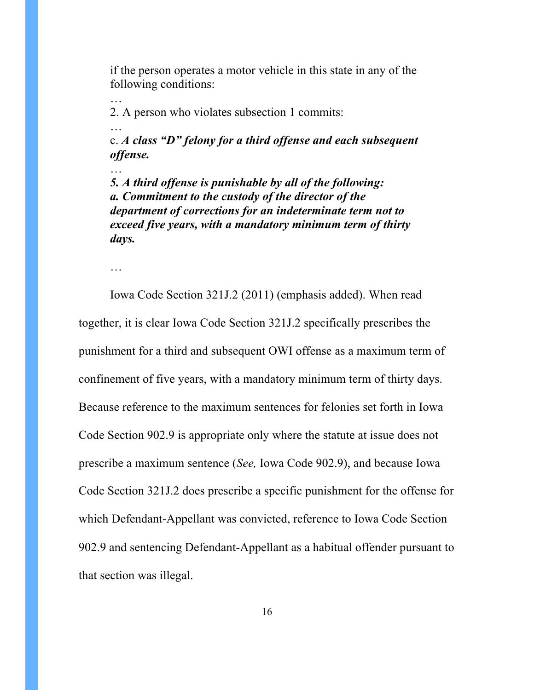if the person operates a motor vehicle in this state in any of the following conditions:

2. A person who violates subsection 1 commits:

c. *A class "D" felony for a third offense and each subsequent offense.*

*5. A third offense is punishable by all of the following: a. Commitment to the custody of the director of the department of corrections for an indeterminate term not to exceed five years, with a mandatory minimum term of thirty days.*

…

…

…

…

Iowa Code Section 321J.2 (2011) (emphasis added). When read together, it is clear Iowa Code Section 321J.2 specifically prescribes the punishment for a third and subsequent OWI offense as a maximum term of confinement of five years, with a mandatory minimum term of thirty days. Because reference to the maximum sentences for felonies set forth in Iowa Code Section 902.9 is appropriate only where the statute at issue does not prescribe a maximum sentence (*See,* Iowa Code 902.9), and because Iowa Code Section 321J.2 does prescribe a specific punishment for the offense for which Defendant-Appellant was convicted, reference to Iowa Code Section 902.9 and sentencing Defendant-Appellant as a habitual offender pursuant to that section was illegal.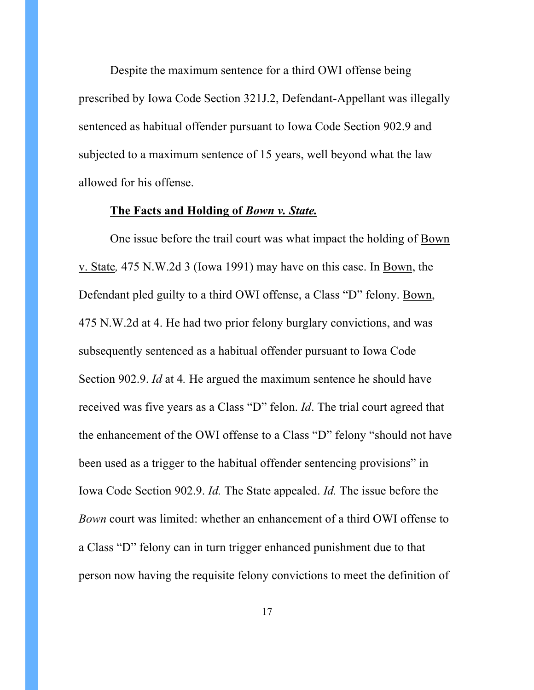Despite the maximum sentence for a third OWI offense being prescribed by Iowa Code Section 321J.2, Defendant-Appellant was illegally sentenced as habitual offender pursuant to Iowa Code Section 902.9 and subjected to a maximum sentence of 15 years, well beyond what the law allowed for his offense.

#### **The Facts and Holding of** *Bown v. State.*

One issue before the trail court was what impact the holding of Bown v. State*,* 475 N.W.2d 3 (Iowa 1991) may have on this case. In Bown, the Defendant pled guilty to a third OWI offense, a Class "D" felony. Bown, 475 N.W.2d at 4. He had two prior felony burglary convictions, and was subsequently sentenced as a habitual offender pursuant to Iowa Code Section 902.9. *Id* at 4*.* He argued the maximum sentence he should have received was five years as a Class "D" felon. *Id*. The trial court agreed that the enhancement of the OWI offense to a Class "D" felony "should not have been used as a trigger to the habitual offender sentencing provisions" in Iowa Code Section 902.9. *Id.* The State appealed. *Id.* The issue before the *Bown* court was limited: whether an enhancement of a third OWI offense to a Class "D" felony can in turn trigger enhanced punishment due to that person now having the requisite felony convictions to meet the definition of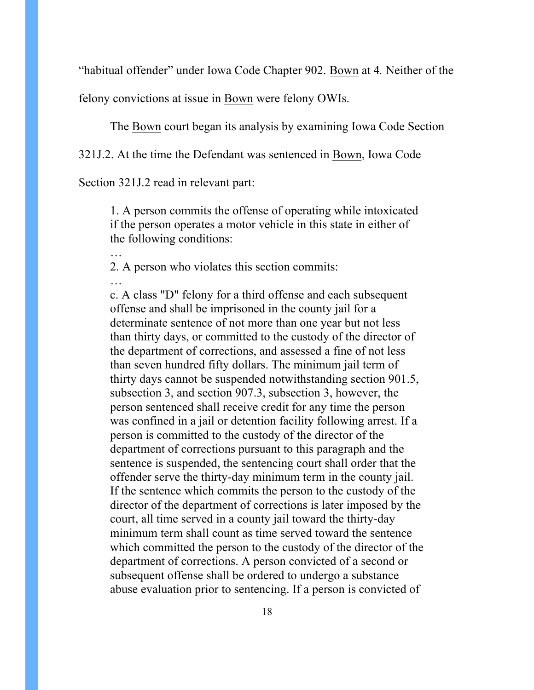"habitual offender" under Iowa Code Chapter 902. Bown at 4*.* Neither of the

felony convictions at issue in Bown were felony OWIs.

The Bown court began its analysis by examining Iowa Code Section

321J.2. At the time the Defendant was sentenced in Bown, Iowa Code

Section 321J.2 read in relevant part:

…

…

1. A person commits the offense of operating while intoxicated if the person operates a motor vehicle in this state in either of the following conditions:

2. A person who violates this section commits:

c. A class "D" felony for a third offense and each subsequent offense and shall be imprisoned in the county jail for a determinate sentence of not more than one year but not less than thirty days, or committed to the custody of the director of the department of corrections, and assessed a fine of not less than seven hundred fifty dollars. The minimum jail term of thirty days cannot be suspended notwithstanding section 901.5, subsection 3, and section 907.3, subsection 3, however, the person sentenced shall receive credit for any time the person was confined in a jail or detention facility following arrest. If a person is committed to the custody of the director of the department of corrections pursuant to this paragraph and the sentence is suspended, the sentencing court shall order that the offender serve the thirty-day minimum term in the county jail. If the sentence which commits the person to the custody of the director of the department of corrections is later imposed by the court, all time served in a county jail toward the thirty-day minimum term shall count as time served toward the sentence which committed the person to the custody of the director of the department of corrections. A person convicted of a second or subsequent offense shall be ordered to undergo a substance abuse evaluation prior to sentencing. If a person is convicted of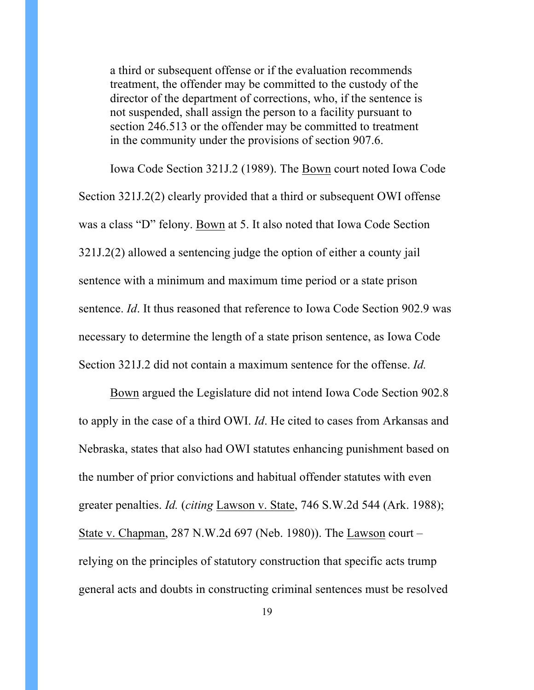a third or subsequent offense or if the evaluation recommends treatment, the offender may be committed to the custody of the director of the department of corrections, who, if the sentence is not suspended, shall assign the person to a facility pursuant to section 246.513 or the offender may be committed to treatment in the community under the provisions of section 907.6.

Iowa Code Section 321J.2 (1989). The Bown court noted Iowa Code Section 321J.2(2) clearly provided that a third or subsequent OWI offense was a class "D" felony. Bown at 5. It also noted that Iowa Code Section 321J.2(2) allowed a sentencing judge the option of either a county jail sentence with a minimum and maximum time period or a state prison sentence. *Id*. It thus reasoned that reference to Iowa Code Section 902.9 was necessary to determine the length of a state prison sentence, as Iowa Code Section 321J.2 did not contain a maximum sentence for the offense. *Id.*

Bown argued the Legislature did not intend Iowa Code Section 902.8 to apply in the case of a third OWI. *Id*. He cited to cases from Arkansas and Nebraska, states that also had OWI statutes enhancing punishment based on the number of prior convictions and habitual offender statutes with even greater penalties. *Id.* (*citing* Lawson v. State, 746 S.W.2d 544 (Ark. 1988); State v. Chapman, 287 N.W.2d 697 (Neb. 1980)). The Lawson court – relying on the principles of statutory construction that specific acts trump general acts and doubts in constructing criminal sentences must be resolved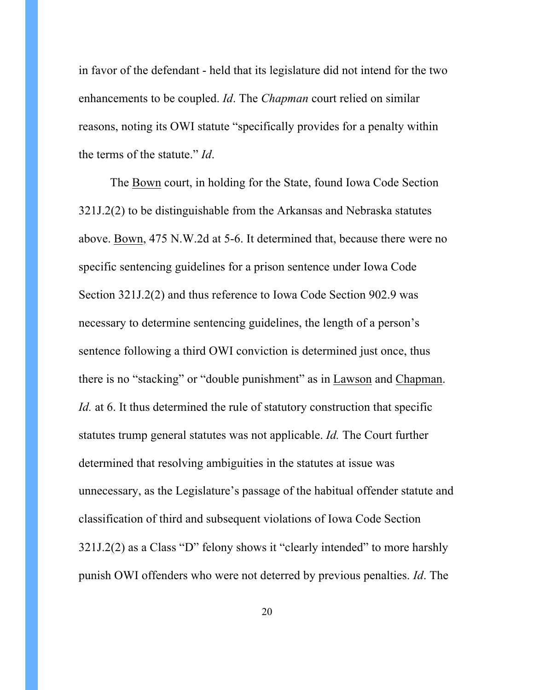in favor of the defendant - held that its legislature did not intend for the two enhancements to be coupled. *Id*. The *Chapman* court relied on similar reasons, noting its OWI statute "specifically provides for a penalty within the terms of the statute." *Id*.

The Bown court, in holding for the State, found Iowa Code Section 321J.2(2) to be distinguishable from the Arkansas and Nebraska statutes above. Bown, 475 N.W.2d at 5-6. It determined that, because there were no specific sentencing guidelines for a prison sentence under Iowa Code Section 321J.2(2) and thus reference to Iowa Code Section 902.9 was necessary to determine sentencing guidelines, the length of a person's sentence following a third OWI conviction is determined just once, thus there is no "stacking" or "double punishment" as in Lawson and Chapman. *Id.* at 6. It thus determined the rule of statutory construction that specific statutes trump general statutes was not applicable. *Id.* The Court further determined that resolving ambiguities in the statutes at issue was unnecessary, as the Legislature's passage of the habitual offender statute and classification of third and subsequent violations of Iowa Code Section 321J.2(2) as a Class "D" felony shows it "clearly intended" to more harshly punish OWI offenders who were not deterred by previous penalties. *Id*. The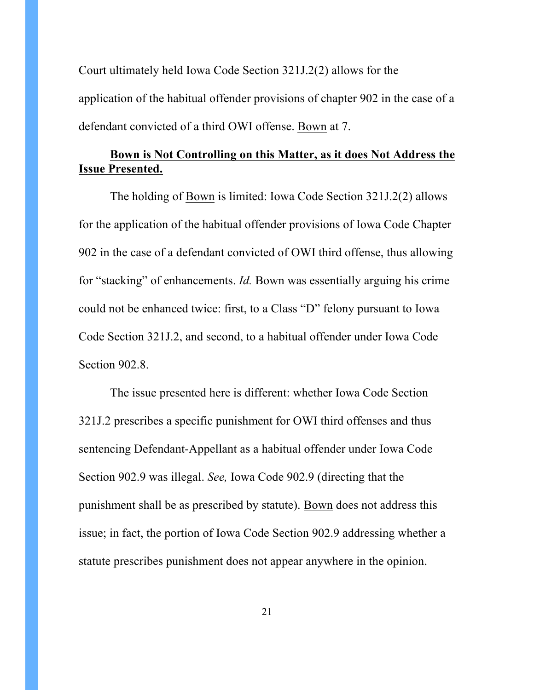Court ultimately held Iowa Code Section 321J.2(2) allows for the application of the habitual offender provisions of chapter 902 in the case of a defendant convicted of a third OWI offense. Bown at 7.

## **Bown is Not Controlling on this Matter, as it does Not Address the Issue Presented.**

The holding of Bown is limited: Iowa Code Section 321J.2(2) allows for the application of the habitual offender provisions of Iowa Code Chapter 902 in the case of a defendant convicted of OWI third offense, thus allowing for "stacking" of enhancements. *Id.* Bown was essentially arguing his crime could not be enhanced twice: first, to a Class "D" felony pursuant to Iowa Code Section 321J.2, and second, to a habitual offender under Iowa Code Section 902.8.

The issue presented here is different: whether Iowa Code Section 321J.2 prescribes a specific punishment for OWI third offenses and thus sentencing Defendant-Appellant as a habitual offender under Iowa Code Section 902.9 was illegal. *See,* Iowa Code 902.9 (directing that the punishment shall be as prescribed by statute). Bown does not address this issue; in fact, the portion of Iowa Code Section 902.9 addressing whether a statute prescribes punishment does not appear anywhere in the opinion.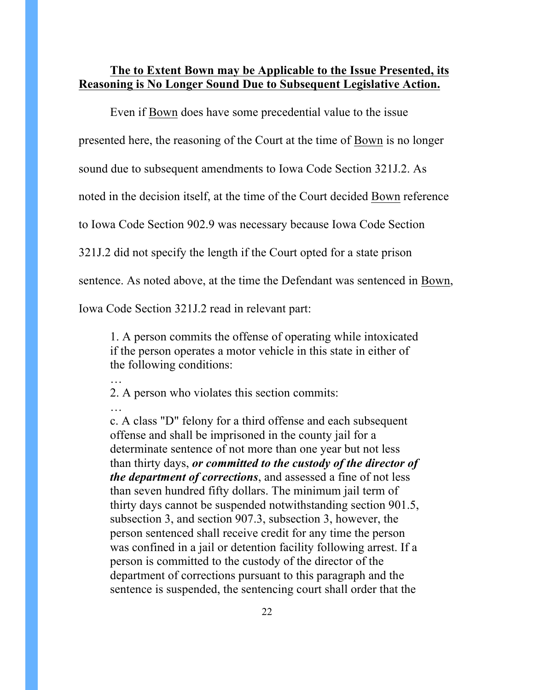### **The to Extent Bown may be Applicable to the Issue Presented, its Reasoning is No Longer Sound Due to Subsequent Legislative Action.**

Even if Bown does have some precedential value to the issue

presented here, the reasoning of the Court at the time of Bown is no longer

sound due to subsequent amendments to Iowa Code Section 321J.2. As

noted in the decision itself, at the time of the Court decided Bown reference

to Iowa Code Section 902.9 was necessary because Iowa Code Section

321J.2 did not specify the length if the Court opted for a state prison

sentence. As noted above, at the time the Defendant was sentenced in Bown,

Iowa Code Section 321J.2 read in relevant part:

…

…

1. A person commits the offense of operating while intoxicated if the person operates a motor vehicle in this state in either of the following conditions:

2. A person who violates this section commits:

c. A class "D" felony for a third offense and each subsequent offense and shall be imprisoned in the county jail for a determinate sentence of not more than one year but not less than thirty days, *or committed to the custody of the director of the department of corrections*, and assessed a fine of not less than seven hundred fifty dollars. The minimum jail term of thirty days cannot be suspended notwithstanding section 901.5, subsection 3, and section 907.3, subsection 3, however, the person sentenced shall receive credit for any time the person was confined in a jail or detention facility following arrest. If a person is committed to the custody of the director of the department of corrections pursuant to this paragraph and the sentence is suspended, the sentencing court shall order that the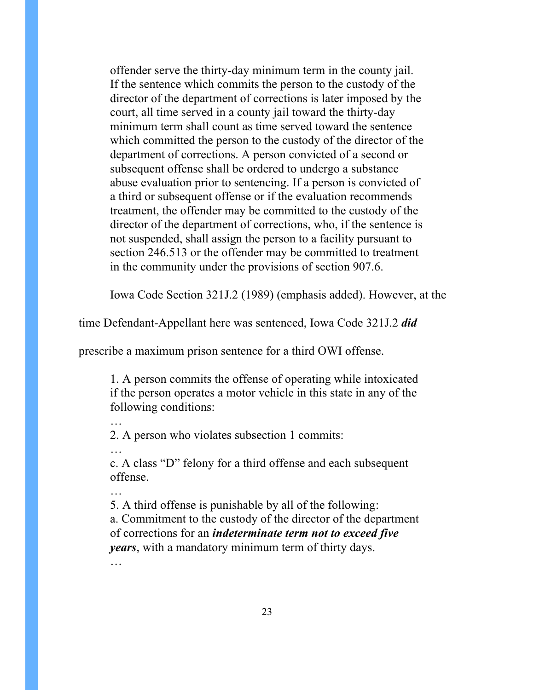offender serve the thirty-day minimum term in the county jail. If the sentence which commits the person to the custody of the director of the department of corrections is later imposed by the court, all time served in a county jail toward the thirty-day minimum term shall count as time served toward the sentence which committed the person to the custody of the director of the department of corrections. A person convicted of a second or subsequent offense shall be ordered to undergo a substance abuse evaluation prior to sentencing. If a person is convicted of a third or subsequent offense or if the evaluation recommends treatment, the offender may be committed to the custody of the director of the department of corrections, who, if the sentence is not suspended, shall assign the person to a facility pursuant to section 246.513 or the offender may be committed to treatment in the community under the provisions of section 907.6.

Iowa Code Section 321J.2 (1989) (emphasis added). However, at the

time Defendant-Appellant here was sentenced, Iowa Code 321J.2 *did*

prescribe a maximum prison sentence for a third OWI offense.

1. A person commits the offense of operating while intoxicated if the person operates a motor vehicle in this state in any of the following conditions:

2. A person who violates subsection 1 commits:

…

…

c. A class "D" felony for a third offense and each subsequent offense.

… 5. A third offense is punishable by all of the following: a. Commitment to the custody of the director of the department of corrections for an *indeterminate term not to exceed five years*, with a mandatory minimum term of thirty days. …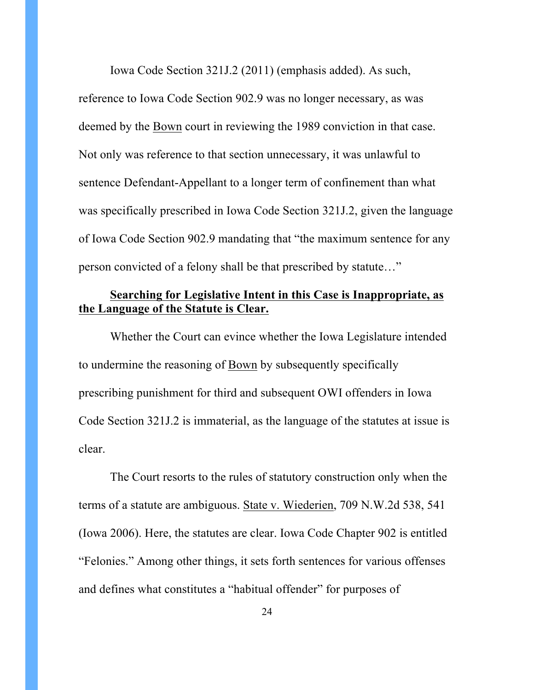Iowa Code Section 321J.2 (2011) (emphasis added). As such, reference to Iowa Code Section 902.9 was no longer necessary, as was deemed by the Bown court in reviewing the 1989 conviction in that case. Not only was reference to that section unnecessary, it was unlawful to sentence Defendant-Appellant to a longer term of confinement than what was specifically prescribed in Iowa Code Section 321J.2, given the language of Iowa Code Section 902.9 mandating that "the maximum sentence for any person convicted of a felony shall be that prescribed by statute…"

## **Searching for Legislative Intent in this Case is Inappropriate, as the Language of the Statute is Clear.**

Whether the Court can evince whether the Iowa Legislature intended to undermine the reasoning of Bown by subsequently specifically prescribing punishment for third and subsequent OWI offenders in Iowa Code Section 321J.2 is immaterial, as the language of the statutes at issue is clear.

The Court resorts to the rules of statutory construction only when the terms of a statute are ambiguous. State v. Wiederien, 709 N.W.2d 538, 541 (Iowa 2006). Here, the statutes are clear. Iowa Code Chapter 902 is entitled "Felonies." Among other things, it sets forth sentences for various offenses and defines what constitutes a "habitual offender" for purposes of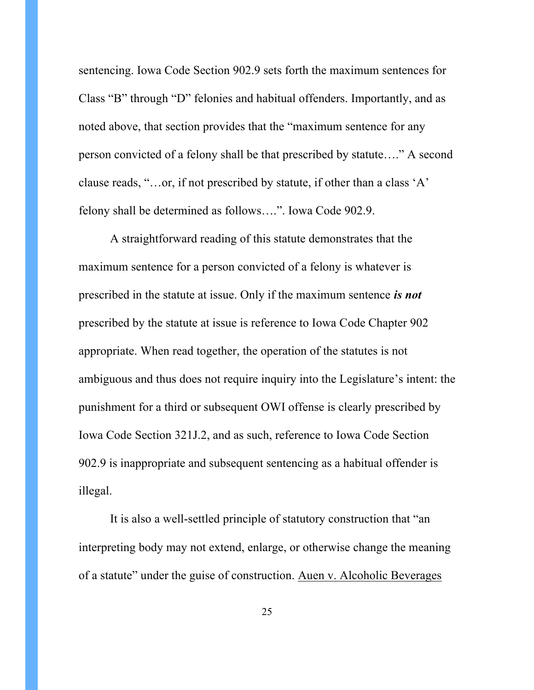sentencing. Iowa Code Section 902.9 sets forth the maximum sentences for Class "B" through "D" felonies and habitual offenders. Importantly, and as noted above, that section provides that the "maximum sentence for any person convicted of a felony shall be that prescribed by statute…." A second clause reads, "…or, if not prescribed by statute, if other than a class 'A' felony shall be determined as follows….". Iowa Code 902.9.

A straightforward reading of this statute demonstrates that the maximum sentence for a person convicted of a felony is whatever is prescribed in the statute at issue. Only if the maximum sentence *is not* prescribed by the statute at issue is reference to Iowa Code Chapter 902 appropriate. When read together, the operation of the statutes is not ambiguous and thus does not require inquiry into the Legislature's intent: the punishment for a third or subsequent OWI offense is clearly prescribed by Iowa Code Section 321J.2, and as such, reference to Iowa Code Section 902.9 is inappropriate and subsequent sentencing as a habitual offender is illegal.

It is also a well-settled principle of statutory construction that "an interpreting body may not extend, enlarge, or otherwise change the meaning of a statute" under the guise of construction. Auen v. Alcoholic Beverages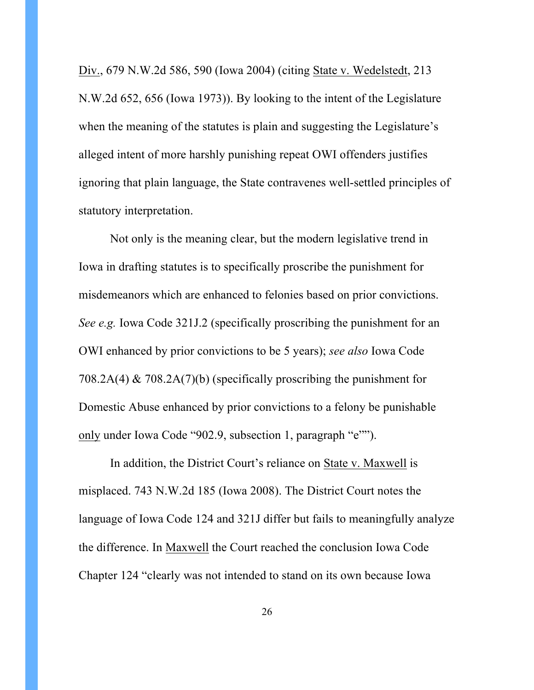Div., 679 N.W.2d 586, 590 (Iowa 2004) (citing State v. Wedelstedt, 213 N.W.2d 652, 656 (Iowa 1973)). By looking to the intent of the Legislature when the meaning of the statutes is plain and suggesting the Legislature's alleged intent of more harshly punishing repeat OWI offenders justifies ignoring that plain language, the State contravenes well-settled principles of statutory interpretation.

Not only is the meaning clear, but the modern legislative trend in Iowa in drafting statutes is to specifically proscribe the punishment for misdemeanors which are enhanced to felonies based on prior convictions. *See e.g.* Iowa Code 321J.2 (specifically proscribing the punishment for an OWI enhanced by prior convictions to be 5 years); *see also* Iowa Code 708.2A(4) & 708.2A(7)(b) (specifically proscribing the punishment for Domestic Abuse enhanced by prior convictions to a felony be punishable only under Iowa Code "902.9, subsection 1, paragraph "e"").

In addition, the District Court's reliance on State v. Maxwell is misplaced. 743 N.W.2d 185 (Iowa 2008). The District Court notes the language of Iowa Code 124 and 321J differ but fails to meaningfully analyze the difference. In Maxwell the Court reached the conclusion Iowa Code Chapter 124 "clearly was not intended to stand on its own because Iowa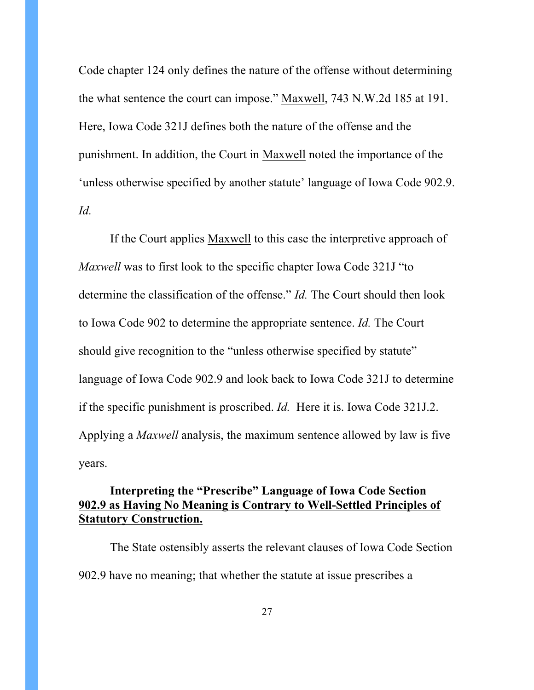Code chapter 124 only defines the nature of the offense without determining the what sentence the court can impose." Maxwell, 743 N.W.2d 185 at 191. Here, Iowa Code 321J defines both the nature of the offense and the punishment. In addition, the Court in Maxwell noted the importance of the 'unless otherwise specified by another statute' language of Iowa Code 902.9. *Id.*

If the Court applies Maxwell to this case the interpretive approach of *Maxwell* was to first look to the specific chapter Iowa Code 321J "to determine the classification of the offense." *Id.* The Court should then look to Iowa Code 902 to determine the appropriate sentence. *Id.* The Court should give recognition to the "unless otherwise specified by statute" language of Iowa Code 902.9 and look back to Iowa Code 321J to determine if the specific punishment is proscribed. *Id.* Here it is. Iowa Code 321J.2. Applying a *Maxwell* analysis, the maximum sentence allowed by law is five years.

## **Interpreting the "Prescribe" Language of Iowa Code Section 902.9 as Having No Meaning is Contrary to Well-Settled Principles of Statutory Construction.**

The State ostensibly asserts the relevant clauses of Iowa Code Section 902.9 have no meaning; that whether the statute at issue prescribes a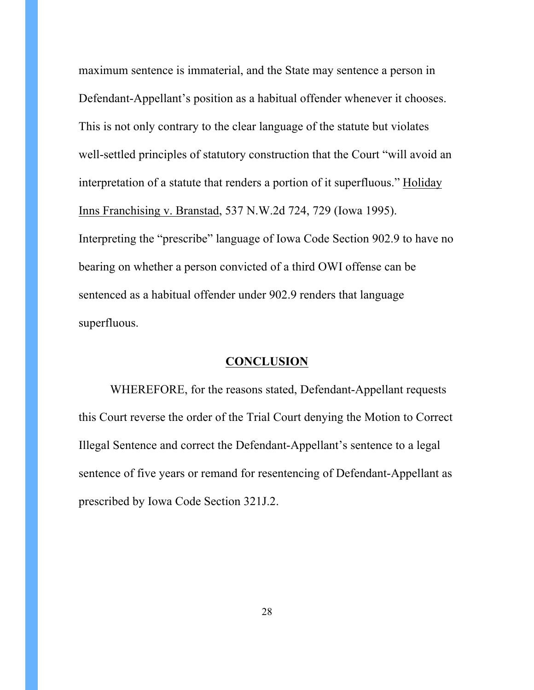maximum sentence is immaterial, and the State may sentence a person in Defendant-Appellant's position as a habitual offender whenever it chooses. This is not only contrary to the clear language of the statute but violates well-settled principles of statutory construction that the Court "will avoid an interpretation of a statute that renders a portion of it superfluous." Holiday Inns Franchising v. Branstad, 537 N.W.2d 724, 729 (Iowa 1995). Interpreting the "prescribe" language of Iowa Code Section 902.9 to have no bearing on whether a person convicted of a third OWI offense can be sentenced as a habitual offender under 902.9 renders that language superfluous.

#### **CONCLUSION**

WHEREFORE, for the reasons stated, Defendant-Appellant requests this Court reverse the order of the Trial Court denying the Motion to Correct Illegal Sentence and correct the Defendant-Appellant's sentence to a legal sentence of five years or remand for resentencing of Defendant-Appellant as prescribed by Iowa Code Section 321J.2.